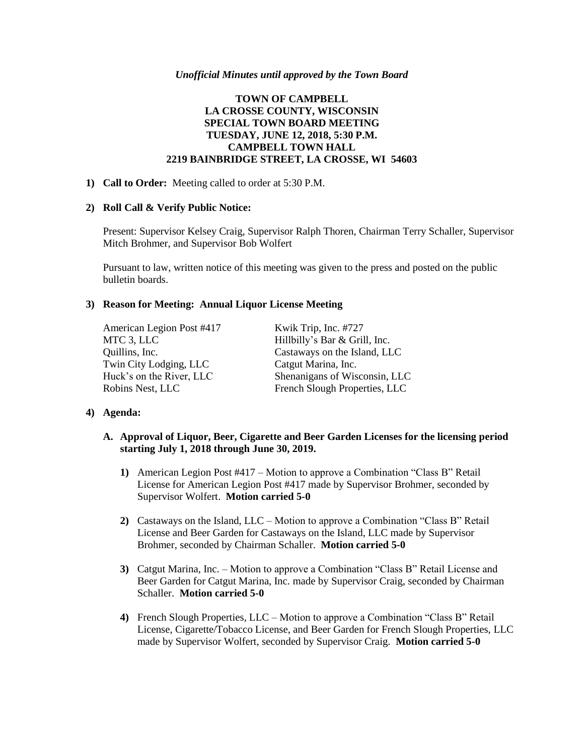#### *Unofficial Minutes until approved by the Town Board*

# **TOWN OF CAMPBELL LA CROSSE COUNTY, WISCONSIN SPECIAL TOWN BOARD MEETING TUESDAY, JUNE 12, 2018, 5:30 P.M. CAMPBELL TOWN HALL 2219 BAINBRIDGE STREET, LA CROSSE, WI 54603**

#### **1) Call to Order:** Meeting called to order at 5:30 P.M.

#### **2) Roll Call & Verify Public Notice:**

Present: Supervisor Kelsey Craig, Supervisor Ralph Thoren, Chairman Terry Schaller, Supervisor Mitch Brohmer, and Supervisor Bob Wolfert

Pursuant to law, written notice of this meeting was given to the press and posted on the public bulletin boards.

# **3) Reason for Meeting: Annual Liquor License Meeting**

American Legion Post #417 Kwik Trip, Inc. #727 MTC 3, LLC Hillbilly's Bar & Grill, Inc. Twin City Lodging, LLC Catgut Marina, Inc.

Quillins, Inc. Castaways on the Island, LLC Huck's on the River, LLC Shenanigans of Wisconsin, LLC Robins Nest, LLC French Slough Properties, LLC

# **4) Agenda:**

# **A. Approval of Liquor, Beer, Cigarette and Beer Garden Licenses for the licensing period starting July 1, 2018 through June 30, 2019.**

- **1)** American Legion Post #417 Motion to approve a Combination "Class B" Retail License for American Legion Post #417 made by Supervisor Brohmer, seconded by Supervisor Wolfert. **Motion carried 5-0**
- **2)** Castaways on the Island, LLC Motion to approve a Combination "Class B" Retail License and Beer Garden for Castaways on the Island, LLC made by Supervisor Brohmer, seconded by Chairman Schaller. **Motion carried 5-0**
- **3)** Catgut Marina, Inc. Motion to approve a Combination "Class B" Retail License and Beer Garden for Catgut Marina, Inc. made by Supervisor Craig, seconded by Chairman Schaller. **Motion carried 5-0**
- **4)** French Slough Properties, LLC Motion to approve a Combination "Class B" Retail License, Cigarette/Tobacco License, and Beer Garden for French Slough Properties, LLC made by Supervisor Wolfert, seconded by Supervisor Craig. **Motion carried 5-0**